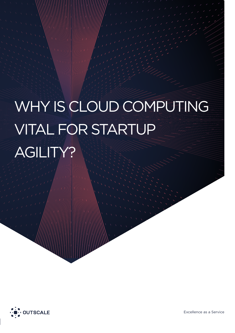# WHY IS CLOUD COMPUTING VITAL FOR STARTUP AGILITY?

Why Is Cloud Computing Vital For Startup Agility? Is Cloud Computing Vital For Startup Agility?



Excellence as a Service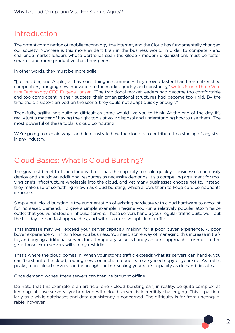#### Introduction

The potent combination of mobile technology, the Internet, and the Cloud has fundamentally changed our society. Nowhere is this more evident than in the business world. In order to compete - and challenge market leaders whose portfolios span the globe - modern organizations must be faster, smarter, and more productive than their peers.

In other words, they must be more agile.

"[Tesla, Uber, and Apple] all have one thing in common - they moved faster than their entrenched competitors, bringing new innovation to the market quickly and constantly," [writes Stone Three Ven](http://ventureburn.com/2015/05/startups-need-stay-flexible-succeed-ever-changing-environment/ )[ture Technology CEO Eugene Jansen](http://ventureburn.com/2015/05/startups-need-stay-flexible-succeed-ever-changing-environment/ ). "The traditional market leaders had become too comfortable and too complacent in their success, their organizational structures had become too rigid. By the time the disruptors arrived on the scene, they could not adapt quickly enough."

Thankfully, agility isn't quite so difficult as some would like you to think. At the end of the day, it's really just a matter of having the right tools at your disposal and understanding how to use them. The most powerful of these tools is cloud computing.

We're going to explain why - and demonstrate how the cloud can contribute to a startup of any size, in any industry.

#### Cloud Basics: What Is Cloud Bursting?

The greatest benefit of the cloud is that it has the capacity to scale quickly - businesses can easily deploy and shutdown additional resources as necessity demands. It's a compelling argument for moving one's infrastructure wholesale into the cloud, and yet many businesses choose not to. Instead, they make use of something known as cloud bursting, which allows them to keep core components in-house.

Simply put, cloud bursting is the augmentation of existing hardware with cloud hardware to account for increased demand. To give a simple example, imagine you run a relatively popular eCommerce outlet that you've hosted on inhouse servers. Those servers handle your regular traffic quite well, but the holiday season fast approaches, and with it a massive uptick in traffic.

That increase may well exceed your server capacity, making for a poor buyer experience. A poor buyer experience will in turn lose you business. You need some way of managing this increase in traffic, and buying additional servers for a temporary spike is hardly an ideal approach - for most of the year, those extra servers will simply rest idle.

That's where the cloud comes in. When your store's traffic exceeds what its servers can handle, you can 'burst' into the cloud, routing new connection requests to a synced copy of your site. As traffic peaks, more cloud servers can be brought online, scaling your site's capacity as demand dictates.

Once demand wanes, these servers can then be brought offline.

Do note that this example is an artificial one - cloud bursting can, in reality, be quite complex, as keeping inhouse servers synchronized with cloud servers is incredibly challenging. This is particularly true while databases and data consistency is concerned. The difficulty is far from unconquerable, however.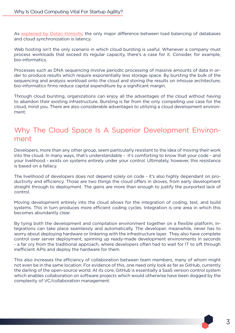As [explained by Dotan Horovits]( https://horovits.wordpress.com/2012/06/12/cloud-bursting/); the only major difference between load balancing of databases and cloud synchronization is latency.

Web hosting isn't the only scenario in which cloud bursting is useful. Whenever a company must process workloads that exceed its regular capacity, there's a case for it. Consider, for example, bio-informatics.

Processes such as DNA sequencing involve periodic processing of massive amounts of data in order to produce results which require exponentially less storage space. By bursting the bulk of the sequencing and analysis workload onto the cloud and storing the results on inhouse architecture, bio-informatics firms reduce capital expenditure by a significant margin.

Through cloud bursting, organizations can enjoy all the advantages of the cloud without having to abandon their existing infrastructure. Bursting is far from the only compelling use case for the cloud, mind you. There are also considerable advantages to utilizing a cloud development environment.

## Why The Cloud Space Is A Superior Development Environment

Developers, more than any other group, seem particularly resistant to the idea of moving their work into the cloud. In many ways, that's understandable - it's comforting to know that your code - and your livelihood - exists on systems entirely under your control. Ultimately, however, this resistance is based on a fallacy.

The livelihood of developers does not depend solely on code - it's also highly dependant on productivity and efficiency. Those are two things the cloud offers in droves, from early development straight through to deployment. The gains are more than enough to justify the purported lack of control.

Moving development entirely into the cloud allows for the integration of coding, test, and build systems. This in turn produces more efficient coding cycles. Integration is one area in which this becomes abundantly clear.

By tying both the development and compilation environment together on a flexible platform, integrations can take place seamlessly and automatically. The developer, meanwhile, never has to worry about deploying hardware or tinkering with the infrastructure layer. They also have complete control over server deployment, spinning up ready-made development environments in seconds - a far cry from the traditional approach, where developers often had to wait for IT to sift through inefficient APIs and deploy the hardware for them.

This also increases the efficiency of collaboration between team members, many of whom might not even be in the same location. For evidence of this, one need only look as far as GitHub, currently the darling of the open-source world. At its core, GitHub is essentially a SaaS version control system which enables collaboration on software projects which would otherwise have been dogged by the complexity of VC/collaboration management.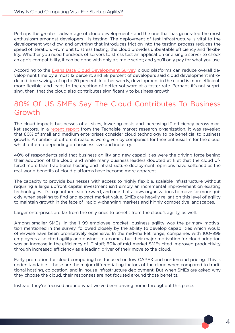Perhaps the greatest advantage of cloud development - and the one that has generated the most enthusiasm amongst developers - is testing. The deployment of test infrastructure is vital to the development workflow, and anything that introduces friction into the testing process reduces the speed of iteration. From unit to stress testing, the cloud provides unbeatable efficiency and flexibility. Whether you need hundreds of servers to stress test an application or a single server to check an app's compatibility, it can be done with only a simple script; and you'll only pay for what you use.

According to the [Evans Data Cloud Development Survey,]( http://www.evansdata.com/reports/viewRelease.php?reportID=27) cloud platforms can reduce overall development time by almost 12 percent, and 38 percent of developers said cloud development introduced time savings of up to 20 percent. In other words, development in the cloud is more efficient, more flexible, and leads to the creation of better software at a faster rate. Perhaps it's not surprising, then, that the cloud also contributes significantly to business growth.

### 80% Of US SMEs Say The Cloud Contributes To Business Growth

The cloud impacts businesses of all sizes, lowering costs and increasing IT efficiency across market sectors. In a [recent report](http://techaisle.com/cloud-reports/11-smb-midmarket-cloud-computing-adoption-trends) from the Techaisle market research organization, it was revealed that 80% of small and medium enterprises consider cloud technology to be beneficial to business growth. A number of different reasons were given by companies for their enthusiasm for the cloud, which differed depending on business size and industry.

40% of respondents said that business agility and new capabilities were the driving force behind their adoption of the cloud, and while many business leaders doubted at first that the cloud offered more than traditional hosting and infrastructure deployment, opinions have softened as the real-world benefits of cloud platforms have become more apparent.

The capacity to provide businesses with access to highly flexible, scalable infrastructure without requiring a large upfront capital investment isn't simply an incremental improvement on existing technologies. It's a quantum leap forward, and one that allows organizations to move far more quickly when seeking to find and extract market value. SMEs are heavily reliant on this level of agility to maintain growth in the face of rapidly-changing markets and highly competitive landscapes.

Larger enterprises are far from the only ones to benefit from the cloud's agility, as well.

Among smaller SMEs, in the 1–99 employee bracket, business agility was the primary motivation mentioned in the survey, followed closely by the ability to develop capabilities which would otherwise have been prohibitively expensive. In the mid-market range, companies with 100–999 employees also cited agility and business outcomes, but their major motivation for cloud adoption was an increase in the efficiency of IT staff; 60% of mid-market SMEs cited improved productivity through increased efficiency as a leading driver of their move to the cloud.

Early promotion for cloud computing has focused on low CAPEX and on-demand pricing. This is understandable - those are the major differentiating factors of the cloud when compared to traditional hosting, colocation, and in-house infrastructure deployment. But when SMEs are asked why they choose the cloud, their responses are not focused around those benefits.

Instead, they're focused around what we've been driving home throughout this piece.

4